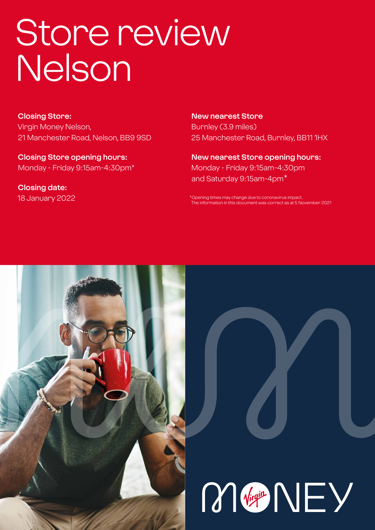# Store review Nelson

**Closing Store:** Virgin Money Nelson, 21 Manchester Road, Nelson, BB9 9SD

**Closing Store opening hours:**  Monday - Friday 9:15am-4:30pm\*

**Closing date:**  18 January 2022 **New nearest Store** Burnley (3.9 miles) 25 Manchester Road, Burnley, BB11 1HX

**New nearest Store opening hours:** Monday - Friday 9:15am-4:30pm and Saturday 9:15am-4pm\*

\*Opening times may change due to coronavirus impact. The information in this document was correct as at 5 November 2021



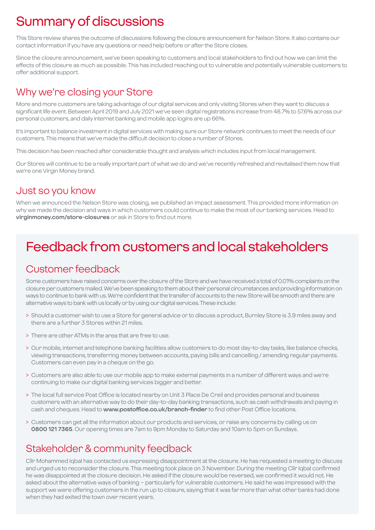# Summary of discussions

This Store review shares the outcome of discussions following the closure announcement for Nelson Store. It also contains our contact information if you have any questions or need help before or after the Store closes.

Since the closure announcement, we've been speaking to customers and local stakeholders to find out how we can limit the effects of this closure as much as possible. This has included reaching out to vulnerable and potentially vulnerable customers to offer additional support.

### Why we're closing your Store

More and more customers are taking advantage of our digital services and only visiting Stores when they want to discuss a significant life event. Between April 2019 and July 2021 we've seen digital registrations increase from 48.7% to 57.6% across our personal customers, and daily internet banking and mobile app logins are up 66%.

It's important to balance investment in digital services with making sure our Store network continues to meet the needs of our customers. This means that we've made the difficult decision to close a number of Stores.

This decision has been reached after considerable thought and analysis which includes input from local management.

Our Stores will continue to be a really important part of what we do and we've recently refreshed and revitalised them now that we're one Virgin Money brand.

### Just so you know

When we announced the Nelson Store was closing, we published an impact assessment. This provided more information on why we made the decision and ways in which customers could continue to make the most of our banking services. Head to **virginmoney.com/store-closures** or ask in Store to find out more.

# Feedback from customers and local stakeholders

### Customer feedback

Some customers have raised concerns over the closure of the Store and we have received a total of 0.01% complaints on the closure per customers mailed. We've been speaking to them about their personal circumstances and providing information on ways to continue to bank with us. We're confident that the transfer of accounts to the new Store will be smooth and there are alternative ways to bank with us locally or by using our digital services. These include:

- > Should a customer wish to use a Store for general advice or to discuss a product, Burnley Store is 3.9 miles away and there are a further 3 Stores within 21 miles.
- > There are other ATMs in the area that are free to use.
- > Our mobile, internet and telephone banking facilities allow customers to do most day-to-day tasks, like balance checks, viewing transactions, transferring money between accounts, paying bills and cancelling / amending regular payments. Customers can even pay in a cheque on the go.
- > Customers are also able to use our mobile app to make external payments in a number of different ways and we're continuing to make our digital banking services bigger and better.
- > The local full service Post Office is located nearby on Unit 3 Place De Creil and provides personal and business customers with an alternative way to do their day-to-day banking transactions, such as cash withdrawals and paying in cash and cheques. Head to **www.postoffice.co.uk/branch-finder** to find other Post Office locations.
- > Customers can get all the information about our products and services, or raise any concerns by calling us on **0800 121 7365**. Our opening times are 7am to 9pm Monday to Saturday and 10am to 5pm on Sundays.

### Stakeholder & community feedback

Cllr Mohammed Iqbal has contacted us expressing disappointment at the closure. He has requested a meeting to discuss and urged us to reconsider the closure. This meeting took place on 3 November. During the meeting Cllr Iqbal confirmed he was disappointed at the closure decision. He asked if the closure would be reversed, we confirmed it would not. He asked about the alternative ways of banking – particularly for vulnerable customers. He said he was impressed with the support we were offering customers in the run up to closure, saying that it was far more than what other banks had done when they had exited the town over recent years.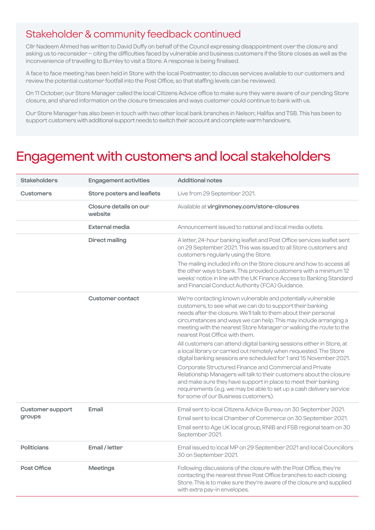### Stakeholder & community feedback continued

Cllr Nadeem Ahmed has written to David Duffy on behalf of the Council expressing disappointment over the closure and asking us to reconsider – citing the difficulties faced by vulnerable and business customers if the Store closes as well as the inconvenience of travelling to Burnley to visit a Store. A response is being finalised.

A face to face meeting has been held in Store with the local Postmaster, to discuss services available to our customers and review the potential customer footfall into the Post Office, so that staffing levels can be reviewed.

On 11 October, our Store Manager called the local Citizens Advice office to make sure they were aware of our pending Store closure, and shared information on the closure timescales and ways customer could continue to bank with us.

Our Store Manager has also been in touch with two other local bank branches in Nelson; Halifax and TSB. This has been to support customers with additional support needs to switch their account and complete warm handovers.

### Engagement with customers and local stakeholders

| <b>Stakeholders</b>               | <b>Engagement activities</b>      | <b>Additional notes</b>                                                                                                                                                                                                                                                                                                                                                                                                                                                                                                                                                                                                                                                                                                                                                                            |
|-----------------------------------|-----------------------------------|----------------------------------------------------------------------------------------------------------------------------------------------------------------------------------------------------------------------------------------------------------------------------------------------------------------------------------------------------------------------------------------------------------------------------------------------------------------------------------------------------------------------------------------------------------------------------------------------------------------------------------------------------------------------------------------------------------------------------------------------------------------------------------------------------|
| <b>Customers</b>                  | Store posters and leaflets        | Live from 29 September 2021.                                                                                                                                                                                                                                                                                                                                                                                                                                                                                                                                                                                                                                                                                                                                                                       |
|                                   | Closure details on our<br>website | Available at virginmoney.com/store-closures                                                                                                                                                                                                                                                                                                                                                                                                                                                                                                                                                                                                                                                                                                                                                        |
|                                   | External media                    | Announcement issued to national and local media outlets.                                                                                                                                                                                                                                                                                                                                                                                                                                                                                                                                                                                                                                                                                                                                           |
|                                   | <b>Direct mailing</b>             | A letter, 24-hour banking leaflet and Post Office services leaflet sent<br>on 29 September 2021. This was issued to all Store customers and<br>customers regularly using the Store.<br>The mailing included info on the Store closure and how to access all<br>the other ways to bank. This provided customers with a minimum 12<br>weeks' notice in line with the UK Finance Access to Banking Standard<br>and Financial Conduct Authority (FCA) Guidance.                                                                                                                                                                                                                                                                                                                                        |
|                                   | <b>Customer contact</b>           | We're contacting known vulnerable and potentially vulnerable<br>customers, to see what we can do to support their banking<br>needs after the closure. We'll talk to them about their personal<br>circumstances and ways we can help. This may include arranging a<br>meeting with the nearest Store Manager or walking the route to the<br>nearest Post Office with them.<br>All customers can attend digital banking sessions either in Store, at<br>a local library or carried out remotely when requested. The Store<br>digital banking sessions are scheduled for 1 and 15 November 2021.<br>Corporate Structured Finance and Commercial and Private<br>Relationship Managers will talk to their customers about the closure<br>and make sure they have support in place to meet their banking |
|                                   |                                   | requirements (e.g. we may be able to set up a cash delivery service<br>for some of our Business customers).                                                                                                                                                                                                                                                                                                                                                                                                                                                                                                                                                                                                                                                                                        |
| <b>Customer support</b><br>groups | Email                             | Email sent to local Citizens Advice Bureau on 30 September 2021.<br>Email sent to local Chamber of Commerce on 30 September 2021.<br>Email sent to Age UK local group, RNIB and FSB regional team on 30<br>September 2021.                                                                                                                                                                                                                                                                                                                                                                                                                                                                                                                                                                         |
| Politicians                       | Email / letter                    | Email issued to local MP on 29 September 2021 and local Councillors<br>30 on September 2021.                                                                                                                                                                                                                                                                                                                                                                                                                                                                                                                                                                                                                                                                                                       |
| <b>Post Office</b>                | <b>Meetings</b>                   | Following discussions of the closure with the Post Office, they're<br>contacting the nearest three Post Office branches to each closing<br>Store. This is to make sure they're aware of the closure and supplied<br>with extra pay-in envelopes.                                                                                                                                                                                                                                                                                                                                                                                                                                                                                                                                                   |